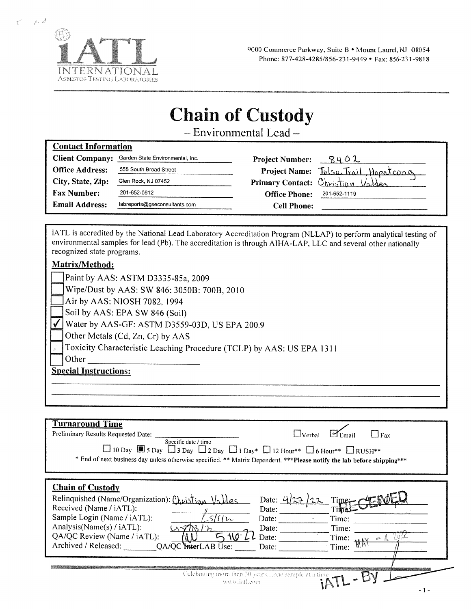

**Contact Information** 

للمسينج

 $\overline{\xi}^{(s)}$ 

# **Chain of Custody**

- Environmental Lead-

| comate maormanon       |                                  |                        |                                     |
|------------------------|----------------------------------|------------------------|-------------------------------------|
| <b>Client Company:</b> | Garden State Environmental, Inc. | <b>Project Number:</b> |                                     |
| <b>Office Address:</b> | 555 South Broad Street           |                        | Project Name: Tulsa Trail Hopatcona |
| City, State, Zip:      | Glen Rock, NJ 07452              |                        | Primary Contact: Christian Valdes   |
| <b>Fax Number:</b>     | 201-652-0612                     | <b>Office Phone:</b>   | 201-652-1119                        |
| <b>Email Address:</b>  | labreports@gseconsultants.com    | <b>Cell Phone:</b>     |                                     |
|                        |                                  |                        |                                     |

iATL is accredited by the National Lead Laboratory Accreditation Program (NLLAP) to perform analytical testing of environmental samples for lead (Pb). The accreditation is through AIHA-LAP, LLC and several other nationally recognized state programs.

#### Matrix/Method:

|                              | Paint by AAS: ASTM D3335-85a, 2009                                    |  |  |  |
|------------------------------|-----------------------------------------------------------------------|--|--|--|
|                              | Wipe/Dust by AAS: SW 846: 3050B: 700B, 2010                           |  |  |  |
|                              | $\text{Air by AAS: NIOSH } 7082, 1994$                                |  |  |  |
|                              | Soil by AAS: EPA SW 846 (Soil)                                        |  |  |  |
|                              | Water by AAS-GF: ASTM D3559-03D, US EPA 200.9                         |  |  |  |
|                              | Other Metals (Cd, Zn, Cr) by AAS                                      |  |  |  |
|                              | Toxicity Characteristic Leaching Procedure (TCLP) by AAS: US EPA 1311 |  |  |  |
|                              | Other                                                                 |  |  |  |
| <b>Special Instructions:</b> |                                                                       |  |  |  |
|                              |                                                                       |  |  |  |
|                              |                                                                       |  |  |  |

| <b>Turnaround Time</b><br>Preliminary Results Requested Date: ____<br>L_lVerbal<br>$\Box$ Fax<br>Specific date / time<br>$\Box$ 10 Day $\Box$ 5 Day $\Box$ 3 Day $\Box$ 2 Day $\Box$ 1 Day* $\Box$ 12 Hour** $\Box$ 6 Hour** $\Box$ RUSH**<br>* End of next business day unless otherwise specified. ** Matrix Dependent. ***Please notify the lab before shipping***        |
|------------------------------------------------------------------------------------------------------------------------------------------------------------------------------------------------------------------------------------------------------------------------------------------------------------------------------------------------------------------------------|
| <b>Chain of Custody</b><br>Relinquished (Name/Organization): Christian Valdes<br>Date: $4$<br>Time-<br>Received (Name / iATL):<br>Date:<br>Sample Login (Name / iATL):<br>ىدا ؟!؟<br>Date:<br>Time:<br>Analysis(Name(s) / iATL):<br>Date:<br>Time:<br>QA/QC Review (Name / iATL):<br>Time:<br>Date:<br>$22\%$<br>Archived / Released:<br>OA/QC MerLAB Use:<br>Time:<br>Date: |
| Celebrating more than 30 yearsone sample at a time<br>www.latheom                                                                                                                                                                                                                                                                                                            |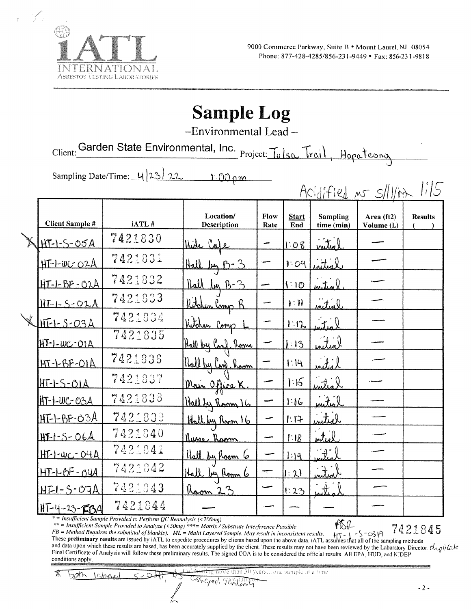

## **Sample Log**

-Environmental Lead-

Client: Garden State Environmental, Inc. Project: Tulsa Trail, Hopateona

Sampling Date/Time: 423  $1.00 \rho m$ 

|                        |         |                                 |              |                         |                                  | Acidified no s/llba        | 1/5            |
|------------------------|---------|---------------------------------|--------------|-------------------------|----------------------------------|----------------------------|----------------|
| <b>Client Sample #</b> | iATL#   | Location/<br><b>Description</b> | Flow<br>Rate | <b>Start</b><br>End     | <b>Sampling</b><br>time (min)    | Area $(ft2)$<br>Volume (L) | <b>Results</b> |
| HT-1-5-05A             | 7421830 | <u>thich Cofe</u>               |              | 1.08                    | inited                           |                            |                |
| <u>HT-1-WC 02A</u>     | 7421831 | Hall by B-3                     |              | 109                     | intial                           |                            |                |
| <u> HT-1-BF-O2A</u>    | 7421832 | <u>llall leg B-3</u>            |              | 1:10                    | <u>initiol</u>                   |                            |                |
| $HT - 5 - OLA$         | 7421833 | Witchen Camp B                  |              | $\mathbf{N}:\mathbf{N}$ | artin                            |                            |                |
| $HFL-S-OSA$            | 7421834 | Kitchen Comp                    |              | $1 - 12$                | $\mathcal{I} \subset \mathbb{R}$ |                            |                |
| <u>HT-1-WC-OIA</u>     | 7421835 | <u>llall by Canf. Room</u>      |              | :13                     | hita)                            |                            |                |
| $HT - LBF - OIA$       | 7421836 | Hall by Canp. Racm              |              | 1:14                    | لأنباش                           |                            |                |
| $HIF-S-OIA$            | 7421837 | Main Office K.                  |              | .15                     | <u>enites I</u>                  |                            |                |
| $H - 1 - UC - O3A$     | 7421838 | Hallby Room 16                  |              | 1.16                    | mites l                          |                            |                |
| <u> HT-1-BF-03A</u>    | 7421839 | Hall by Room 16                 |              | 1:17                    | inited                           |                            |                |
| $HT - 1 - S - O6A$     | 7421840 | <u>Nurs Room</u>                |              | 1.18                    | inteel                           |                            |                |
| $H[-1.00 - O4A]$       | 7421841 | <u>llall by Room 6</u>          |              | 1:19                    | مناكس                            |                            |                |
| <u> HT-1-BF-04A</u>    | 7421842 | Hall by Room 6                  | ┯            | $ \cdot \rangle$        | inter                            |                            |                |
| <u> HF1-S-07A</u>      | 7421843 | Room 23                         |              | 1:23                    | inter                            |                            |                |
| $117 - 4 - 13 - 154$   | 7421844 |                                 |              |                         |                                  |                            |                |

\* = Insufficient Sample Provided to Perform QC Reanalysis (<200mg)

\*\* = Insufficient Sample Provided to Analyze (<50mg) \*\*\*= Matrix / Substrate Interference Possible

7421845

FB = Method Requires the submittal of blank(s).  $ML = Multi L$  is wastrate mergerence rosstore<br>FB = Method Requires the submittal of blank(s).  $ML = Multi L$  awered Sample. May result in inconsistent results.<br>These **preliminary results** and data upon which these results are based, has been accurately supplied by the client. These results may not have been reviewed by the Laboratory Director.  $d_{\nu\rho}$  ( $d_{\alpha}k$ Final Certificate of Analysis will follow these preliminary results. The signed COA is to be considered the official results. All EPA, HUD, and NJDEP conditions apply.

<del>ing more than 30</del> years. Lone sample at a time 釆 bah  $k$ Csscreel VES

$$
\frac{\partial u}{\partial x} =
$$

 $101$ 

 $\overline{a}$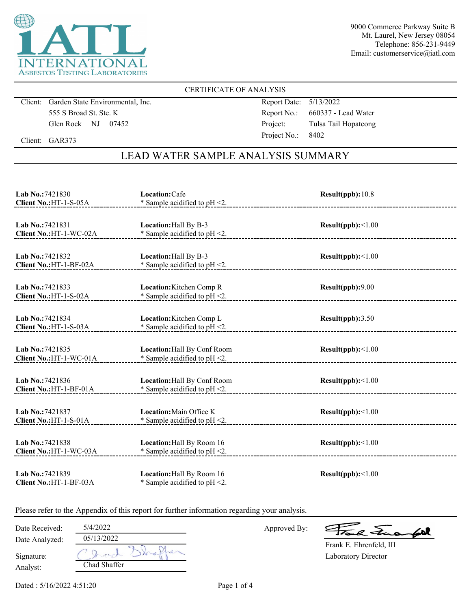

9000 Commerce Parkway Suite B Mt. Laurel, New Jersey 08054 Telephone: 856-231-9449 Email: customerservice@iatl.com

#### CERTIFICATE OF ANALYSIS

Client: Garden State Environmental, Inc. 555 S Broad St. Ste. K Glen Rock NJ 07452

Report Date: 5/13/2022 Report No.: 660337 - Lead Water Project: Tulsa Tail Hopatcong Project No.: 8402

Client: GAR373

### LEAD WATER SAMPLE ANALYSIS SUMMARY

| Lab No.:7421830<br>Client No.: HT-1-S-05A   | Location: Cafe<br>* Sample acidified to $pH < 2$ .                  | Result(ppb): 10.8 |
|---------------------------------------------|---------------------------------------------------------------------|-------------------|
| Lab No.:7421831<br>Client No.: HT-1-WC-02A  | Location: Hall By B-3<br>* Sample acidified to $pH < 2$ .           | Result(ppb):<1.00 |
| Lab No.:7421832<br>Client No.: HT-1-BF-02A  | Location: Hall By B-3<br>* Sample acidified to $pH < 2$ .           | Result(ppb):<1.00 |
| Lab No.: 7421833<br>Client No.: HT-1-S-02A  | <b>Location:</b> Kitchen Comp R<br>* Sample acidified to $pH < 2$ . | Result(ppb):9.00  |
| Lab No.: 7421834<br>Client No.: HT-1-S-03A  | Location: Kitchen Comp L<br>* Sample acidified to pH <2.            | Result(ppb):3.50  |
| Lab No.: 7421835<br>Client No.: HT-1-WC-01A | Location: Hall By Conf Room<br>* Sample acidified to $pH < 2$ .     | Result(ppb):<1.00 |
| Lab No.: 7421836<br>Client No.: HT-1-BF-01A | Location: Hall By Conf Room<br>$*$ Sample acidified to pH <2.       | Result(ppb):<1.00 |
| Lab No.:7421837<br>Client No.: HT-1-S-01A   | Location: Main Office K<br>* Sample acidified to $pH < 2$ .         | Result(ppb):<1.00 |
| Lab No.: 7421838<br>Client No.: HT-1-WC-03A | Location: Hall By Room 16<br>* Sample acidified to $pH < 2$ .       | Result(ppb):<1.00 |
| Lab No.: 7421839<br>Client No.: HT-1-BF-03A | Location: Hall By Room 16<br>* Sample acidified to pH <2.           | Result(ppb):<1.00 |

Please refer to the Appendix of this report for further information regarding your analysis.

| Date Received: | 5/4/2022     |
|----------------|--------------|
| Date Analyzed: | 05/13/2022   |
| Signature:     | トーアレイ        |
| Analyst:       | Chad Shaffer |

Approved By:

a Juan fall

Laboratory Director Frank E. Ehrenfeld, III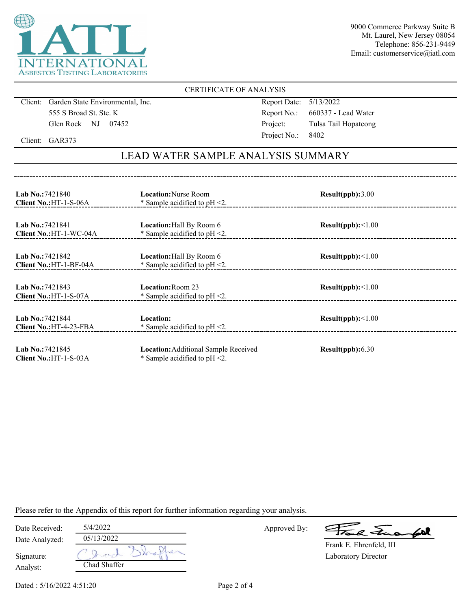

9000 Commerce Parkway Suite B Mt. Laurel, New Jersey 08054 Telephone: 856-231-9449 Email: customerservice@iatl.com

#### CERTIFICATE OF ANALYSIS

Client: Garden State Environmental, Inc. 555 S Broad St. Ste. K Glen Rock NJ 07452

Report Date: 5/13/2022 Report No.: 660337 - Lead Water Project: Tulsa Tail Hopatcong Project No.: 8402

Client: GAR373

## LEAD WATER SAMPLE ANALYSIS SUMMARY

| <b>Lab No.: 7421840</b><br>Client No.: HT-1-S-06A  | <b>Location:</b> Nurse Room<br>* Sample acidified to $pH < 2$ .          | Result(ppb):3.00         |
|----------------------------------------------------|--------------------------------------------------------------------------|--------------------------|
| <b>Lab No.: 7421841</b><br>Client No.: HT-1-WC-04A | <b>Location:</b> Hall By Room 6<br>* Sample acidified to $pH < 2$ .      | Result(ppb):<1.00        |
| <b>Lab No.:7421842</b><br>Client No.: HT-1-BF-04A  | <b>Location:</b> Hall By Room 6<br>* Sample acidified to $pH < 2$ .      | $Result(ppb): \leq 1.00$ |
| Lab No.: 7421843<br>Client No.: HT-1-S-07A         | Location: Room 23<br>* Sample acidified to $pH < 2$ .                    | $Result(ppb): \leq 1.00$ |
| Lab No.: 7421844<br>Client No.: HT-4-23-FBA        | Location:<br>* Sample acidified to $pH < 2$ .                            | $Result(ppb): \leq 1.00$ |
| Lab No.: 7421845<br>Client No.: HT-1-S-03A         | Location: Additional Sample Received<br>* Sample acidified to $pH < 2$ . | Result(ppb): 6.30        |

Please refer to the Appendix of this report for further information regarding your analysis.

| Date Received: | 5/4/2022     | Approved By: | Frank Fuerfol           |
|----------------|--------------|--------------|-------------------------|
| Date Analyzed: | 05/13/2022   |              | Frank E. Ehrenfeld, III |
| Signature:     |              |              | Laboratory Director     |
| Analyst:       | Chad Shaffer |              |                         |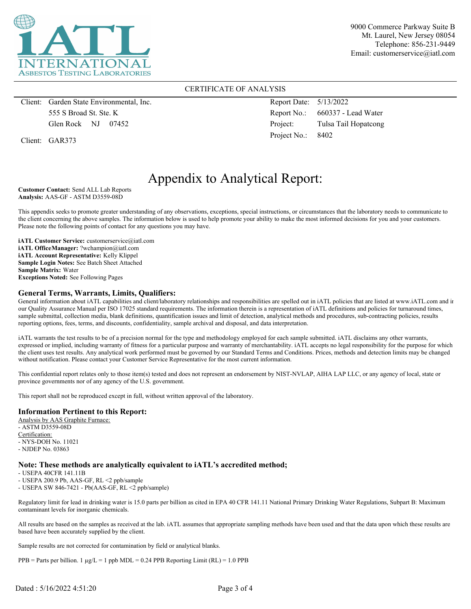

9000 Commerce Parkway Suite B Mt. Laurel, New Jersey 08054 Telephone: 856-231-9449 Email: customerservice@iatl.com

#### CERTIFICATE OF ANALYSIS

Client: Garden State Environmental, Inc. 555 S Broad St. Ste. K Glen Rock NJ 07452

Client: GAR373

Report Date: 5/13/2022 Report No.: 660337 - Lead Water Project: Tulsa Tail Hopatcong Project No.: 8402

## Appendix to Analytical Report:

**Customer Contact:** Send ALL Lab Reports **Analysis:** AAS-GF - ASTM D3559-08D

This appendix seeks to promote greater understanding of any observations, exceptions, special instructions, or circumstances that the laboratory needs to communicate to the client concerning the above samples. The information below is used to help promote your ability to make the most informed decisions for you and your customers. Please note the following points of contact for any questions you may have.

**iATL Customer Service:** customerservice@iatl.com **iATL OfficeManager:** ?wchampion@iatl.com **iATL Account Representative:** Kelly Klippel **Sample Login Notes:** See Batch Sheet Attached **Sample Matrix:** Water **Exceptions Noted:** See Following Pages

#### **General Terms, Warrants, Limits, Qualifiers:**

General information about iATL capabilities and client/laboratory relationships and responsibilities are spelled out in iATL policies that are listed at www.iATL.com and in our Quality Assurance Manual per ISO 17025 standard requirements. The information therein is a representation of iATL definitions and policies for turnaround times, sample submittal, collection media, blank definitions, quantification issues and limit of detection, analytical methods and procedures, sub-contracting policies, results reporting options, fees, terms, and discounts, confidentiality, sample archival and disposal, and data interpretation.

iATL warrants the test results to be of a precision normal for the type and methodology employed for each sample submitted. iATL disclaims any other warrants, expressed or implied, including warranty of fitness for a particular purpose and warranty of merchantability. iATL accepts no legal responsibility for the purpose for which the client uses test results. Any analytical work performed must be governed by our Standard Terms and Conditions. Prices, methods and detection limits may be changed without notification. Please contact your Customer Service Representative for the most current information.

This confidential report relates only to those item(s) tested and does not represent an endorsement by NIST-NVLAP, AIHA LAP LLC, or any agency of local, state or province governments nor of any agency of the U.S. government.

This report shall not be reproduced except in full, without written approval of the laboratory.

#### **Information Pertinent to this Report:**

Analysis by AAS Graphite Furnace: - ASTM D3559-08D Certification: - NYS-DOH No. 11021 - NJDEP No. 03863

#### **Note: These methods are analytically equivalent to iATL's accredited method;**

- USEPA 40CFR 141.11B

- USEPA 200.9 Pb, AAS-GF, RL <2 ppb/sample

- USEPA SW 846-7421 - Pb(AAS-GF, RL <2 ppb/sample)

Regulatory limit for lead in drinking water is 15.0 parts per billion as cited in EPA 40 CFR 141.11 National Primary Drinking Water Regulations, Subpart B: Maximum contaminant levels for inorganic chemicals.

All results are based on the samples as received at the lab. iATL assumes that appropriate sampling methods have been used and that the data upon which these results are based have been accurately supplied by the client.

Sample results are not corrected for contamination by field or analytical blanks.

PPB = Parts per billion. 1  $\mu$ g/L = 1 ppb MDL = 0.24 PPB Reporting Limit (RL) = 1.0 PPB